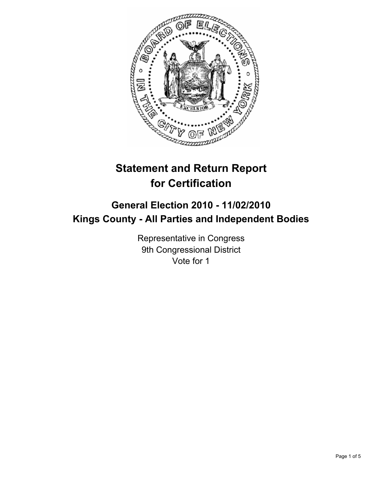

# **Statement and Return Report for Certification**

# **General Election 2010 - 11/02/2010 Kings County - All Parties and Independent Bodies**

Representative in Congress 9th Congressional District Vote for 1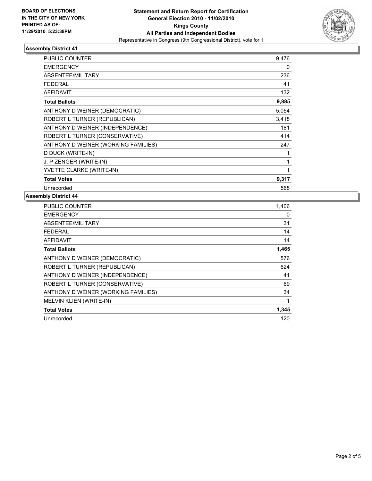

## **Assembly District 41**

| PUBLIC COUNTER                      | 9,476 |
|-------------------------------------|-------|
| <b>EMERGENCY</b>                    | 0     |
| ABSENTEE/MILITARY                   | 236   |
| <b>FEDERAL</b>                      | 41    |
| <b>AFFIDAVIT</b>                    | 132   |
| <b>Total Ballots</b>                | 9,885 |
| ANTHONY D WEINER (DEMOCRATIC)       | 5,054 |
| ROBERT L TURNER (REPUBLICAN)        | 3,418 |
| ANTHONY D WEINER (INDEPENDENCE)     | 181   |
| ROBERT L TURNER (CONSERVATIVE)      | 414   |
| ANTHONY D WEINER (WORKING FAMILIES) | 247   |
| D DUCK (WRITE-IN)                   | 1     |
| J. P ZENGER (WRITE-IN)              | 1     |
| YVETTE CLARKE (WRITE-IN)            | 1     |
| <b>Total Votes</b>                  | 9,317 |
| Unrecorded                          | 568   |

## **Assembly District 44**

| <b>PUBLIC COUNTER</b>               | 1,406 |
|-------------------------------------|-------|
| <b>EMERGENCY</b>                    | 0     |
| ABSENTEE/MILITARY                   | 31    |
| <b>FEDERAL</b>                      | 14    |
| <b>AFFIDAVIT</b>                    | 14    |
| <b>Total Ballots</b>                | 1,465 |
| ANTHONY D WEINER (DEMOCRATIC)       | 576   |
| ROBERT L TURNER (REPUBLICAN)        | 624   |
| ANTHONY D WEINER (INDEPENDENCE)     | 41    |
| ROBERT L TURNER (CONSERVATIVE)      | 69    |
| ANTHONY D WEINER (WORKING FAMILIES) | 34    |
| MELVIN KLIEN (WRITE-IN)             | 1     |
| <b>Total Votes</b>                  | 1,345 |
| Unrecorded                          | 120   |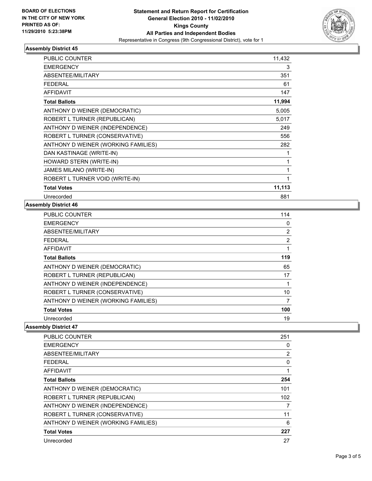

## **Assembly District 45**

| <b>PUBLIC COUNTER</b>               | 11,432 |
|-------------------------------------|--------|
| <b>EMERGENCY</b>                    | 3      |
| <b>ABSENTEE/MILITARY</b>            | 351    |
| <b>FEDERAL</b>                      | 61     |
| <b>AFFIDAVIT</b>                    | 147    |
| <b>Total Ballots</b>                | 11,994 |
| ANTHONY D WEINER (DEMOCRATIC)       | 5,005  |
| ROBERT L TURNER (REPUBLICAN)        | 5,017  |
| ANTHONY D WEINER (INDEPENDENCE)     | 249    |
| ROBERT L TURNER (CONSERVATIVE)      | 556    |
| ANTHONY D WEINER (WORKING FAMILIES) | 282    |
| DAN KASTINAGE (WRITE-IN)            | 1      |
| HOWARD STERN (WRITE-IN)             | 1      |
| <b>JAMES MILANO (WRITE-IN)</b>      | 1      |
| ROBERT L TURNER VOID (WRITE-IN)     | 1      |
| <b>Total Votes</b>                  | 11,113 |
| Unrecorded                          | 881    |

## **Assembly District 46**

| <b>PUBLIC COUNTER</b>               | 114            |
|-------------------------------------|----------------|
| <b>EMERGENCY</b>                    | 0              |
| ABSENTEE/MILITARY                   | 2              |
| <b>FEDERAL</b>                      | $\overline{2}$ |
| <b>AFFIDAVIT</b>                    | 1              |
| <b>Total Ballots</b>                | 119            |
| ANTHONY D WEINER (DEMOCRATIC)       | 65             |
| ROBERT L TURNER (REPUBLICAN)        | 17             |
| ANTHONY D WEINER (INDEPENDENCE)     | 1              |
| ROBERT L TURNER (CONSERVATIVE)      | 10             |
| ANTHONY D WEINER (WORKING FAMILIES) | 7              |
| <b>Total Votes</b>                  | 100            |
| Unrecorded                          | 19             |

#### **Assembly District 47**

| <b>PUBLIC COUNTER</b>               | 251            |
|-------------------------------------|----------------|
| <b>EMERGENCY</b>                    | 0              |
| ABSENTEE/MILITARY                   | $\overline{2}$ |
| <b>FEDERAL</b>                      | $\Omega$       |
| <b>AFFIDAVIT</b>                    | 1              |
| <b>Total Ballots</b>                | 254            |
| ANTHONY D WEINER (DEMOCRATIC)       | 101            |
| ROBERT L TURNER (REPUBLICAN)        | 102            |
| ANTHONY D WEINER (INDEPENDENCE)     | 7              |
| ROBERT L TURNER (CONSERVATIVE)      | 11             |
| ANTHONY D WEINER (WORKING FAMILIES) | 6              |
| <b>Total Votes</b>                  | 227            |
| Unrecorded                          | 27             |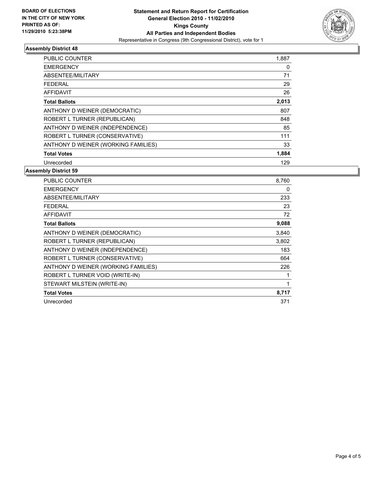

## **Assembly District 48**

| PUBLIC COUNTER                      | 1,887 |
|-------------------------------------|-------|
| <b>EMERGENCY</b>                    | 0     |
| ABSENTEE/MILITARY                   | 71    |
| <b>FEDERAL</b>                      | 29    |
| <b>AFFIDAVIT</b>                    | 26    |
| <b>Total Ballots</b>                | 2,013 |
| ANTHONY D WEINER (DEMOCRATIC)       | 807   |
| ROBERT L TURNER (REPUBLICAN)        | 848   |
| ANTHONY D WEINER (INDEPENDENCE)     | 85    |
| ROBERT L TURNER (CONSERVATIVE)      | 111   |
| ANTHONY D WEINER (WORKING FAMILIES) | 33    |
| <b>Total Votes</b>                  | 1,884 |
| Unrecorded                          | 129   |

## **Assembly District 59**

| <b>PUBLIC COUNTER</b>               | 8,760 |
|-------------------------------------|-------|
| <b>EMERGENCY</b>                    | 0     |
| ABSENTEE/MILITARY                   | 233   |
| <b>FEDERAL</b>                      | 23    |
| <b>AFFIDAVIT</b>                    | 72    |
| <b>Total Ballots</b>                | 9,088 |
| ANTHONY D WEINER (DEMOCRATIC)       | 3,840 |
| ROBERT L TURNER (REPUBLICAN)        | 3,802 |
| ANTHONY D WEINER (INDEPENDENCE)     | 183   |
| ROBERT L TURNER (CONSERVATIVE)      | 664   |
| ANTHONY D WEINER (WORKING FAMILIES) | 226   |
| ROBERT L TURNER VOID (WRITE-IN)     | 1     |
| STEWART MILSTEIN (WRITE-IN)         | 1     |
| <b>Total Votes</b>                  | 8,717 |
| Unrecorded                          | 371   |